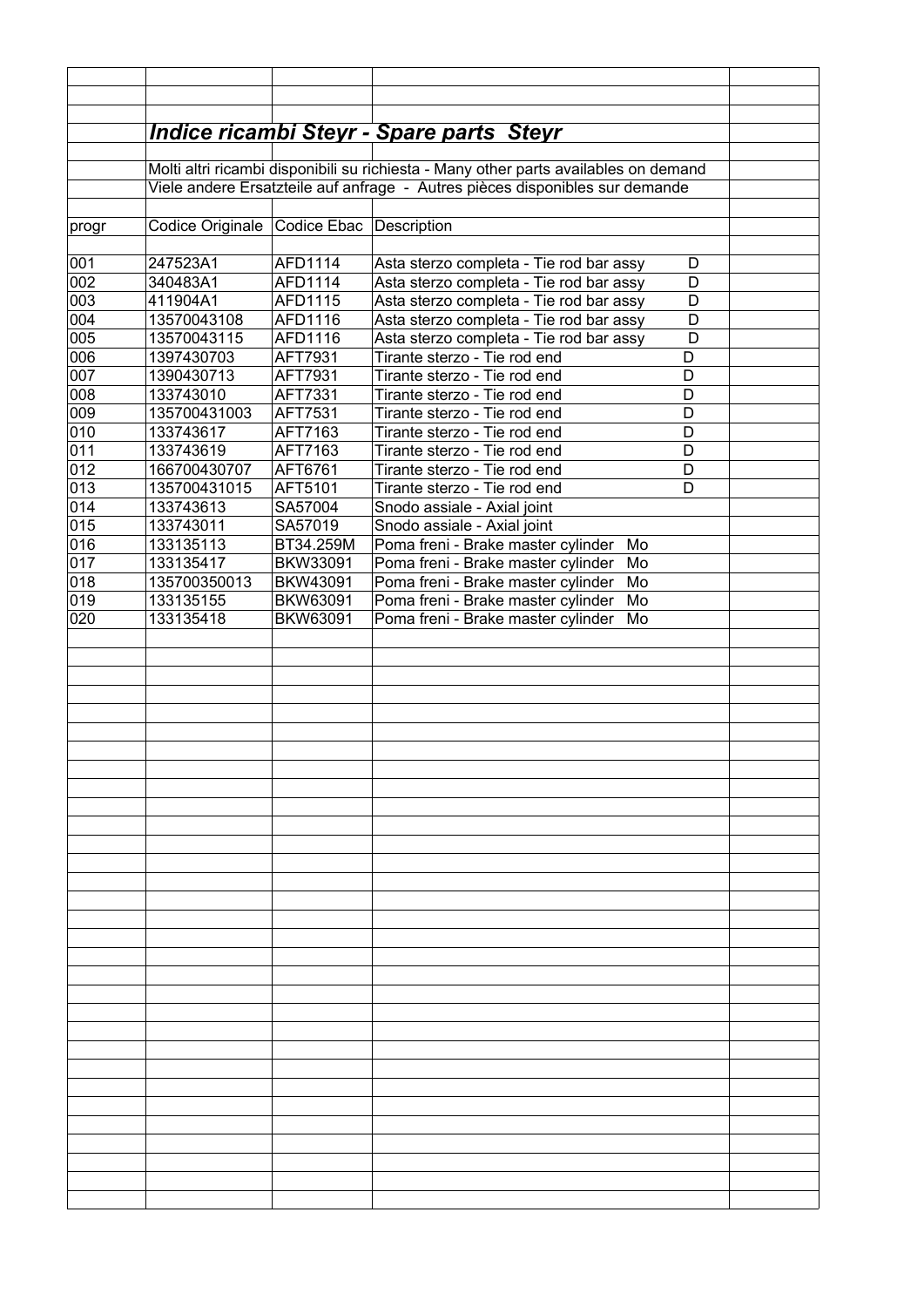|            |                                                                                      |                                                                              | <b>Indice ricambi Steyr - Spare parts Steyr</b>                                         |  |  |  |
|------------|--------------------------------------------------------------------------------------|------------------------------------------------------------------------------|-----------------------------------------------------------------------------------------|--|--|--|
|            | Molti altri ricambi disponibili su richiesta - Many other parts availables on demand |                                                                              |                                                                                         |  |  |  |
|            |                                                                                      | Viele andere Ersatzteile auf anfrage - Autres pièces disponibles sur demande |                                                                                         |  |  |  |
|            |                                                                                      |                                                                              |                                                                                         |  |  |  |
| progr      | Codice Originale Codice Ebac Description                                             |                                                                              |                                                                                         |  |  |  |
|            |                                                                                      |                                                                              |                                                                                         |  |  |  |
| 001        | 247523A1                                                                             | AFD1114                                                                      | Asta sterzo completa - Tie rod bar assy<br>D                                            |  |  |  |
| 002        | 340483A1                                                                             | AFD1114                                                                      | Asta sterzo completa - Tie rod bar assy<br>D                                            |  |  |  |
| 003<br>004 | 411904A1<br>13570043108                                                              | AFD1115<br>AFD1116                                                           | Asta sterzo completa - Tie rod bar assy<br>D<br>D                                       |  |  |  |
| 005        | 13570043115                                                                          | AFD1116                                                                      | Asta sterzo completa - Tie rod bar assy<br>Asta sterzo completa - Tie rod bar assy<br>D |  |  |  |
| 006        | 1397430703                                                                           | AFT7931                                                                      | Tirante sterzo - Tie rod end<br>D                                                       |  |  |  |
| 007        | 1390430713                                                                           | AFT7931                                                                      | D<br>Tirante sterzo - Tie rod end                                                       |  |  |  |
| 008        | 133743010                                                                            | AFT7331                                                                      | D<br>Tirante sterzo - Tie rod end                                                       |  |  |  |
| 009        | 135700431003                                                                         | AFT7531                                                                      | D<br>Tirante sterzo - Tie rod end                                                       |  |  |  |
| 010        | 133743617                                                                            | AFT7163                                                                      | Tirante sterzo - Tie rod end<br>D                                                       |  |  |  |
| 011        | 133743619                                                                            | AFT7163                                                                      | D<br>Tirante sterzo - Tie rod end                                                       |  |  |  |
| 012        | 166700430707                                                                         | AFT6761                                                                      | Tirante sterzo - Tie rod end<br>D                                                       |  |  |  |
| 013        | 135700431015                                                                         | AFT5101                                                                      | Tirante sterzo - Tie rod end<br>D                                                       |  |  |  |
| 014        | 133743613                                                                            | SA57004                                                                      | Snodo assiale - Axial joint                                                             |  |  |  |
| 015<br>016 | 133743011<br>133135113                                                               | SA57019<br>BT34.259M                                                         | Snodo assiale - Axial joint<br>Poma freni - Brake master cylinder<br>Mo                 |  |  |  |
| 017        | 133135417                                                                            | BKW33091                                                                     | Poma freni - Brake master cylinder<br>Mo                                                |  |  |  |
| 018        | 135700350013                                                                         | BKW43091                                                                     | Poma freni - Brake master cylinder<br>Mo                                                |  |  |  |
| 019        | 133135155                                                                            | BKW63091                                                                     | Poma freni - Brake master cylinder<br>Mo                                                |  |  |  |
| 020        | 133135418                                                                            | BKW63091                                                                     | Poma freni - Brake master cylinder<br>Mo                                                |  |  |  |
|            |                                                                                      |                                                                              |                                                                                         |  |  |  |
|            |                                                                                      |                                                                              |                                                                                         |  |  |  |
|            |                                                                                      |                                                                              |                                                                                         |  |  |  |
|            |                                                                                      |                                                                              |                                                                                         |  |  |  |
|            |                                                                                      |                                                                              |                                                                                         |  |  |  |
|            |                                                                                      |                                                                              |                                                                                         |  |  |  |
|            |                                                                                      |                                                                              |                                                                                         |  |  |  |
|            |                                                                                      |                                                                              |                                                                                         |  |  |  |
|            |                                                                                      |                                                                              |                                                                                         |  |  |  |
|            |                                                                                      |                                                                              |                                                                                         |  |  |  |
|            |                                                                                      |                                                                              |                                                                                         |  |  |  |
|            |                                                                                      |                                                                              |                                                                                         |  |  |  |
|            |                                                                                      |                                                                              |                                                                                         |  |  |  |
|            |                                                                                      |                                                                              |                                                                                         |  |  |  |
|            |                                                                                      |                                                                              |                                                                                         |  |  |  |
|            |                                                                                      |                                                                              |                                                                                         |  |  |  |
|            |                                                                                      |                                                                              |                                                                                         |  |  |  |
|            |                                                                                      |                                                                              |                                                                                         |  |  |  |
|            |                                                                                      |                                                                              |                                                                                         |  |  |  |
|            |                                                                                      |                                                                              |                                                                                         |  |  |  |
|            |                                                                                      |                                                                              |                                                                                         |  |  |  |
|            |                                                                                      |                                                                              |                                                                                         |  |  |  |
|            |                                                                                      |                                                                              |                                                                                         |  |  |  |
|            |                                                                                      |                                                                              |                                                                                         |  |  |  |
|            |                                                                                      |                                                                              |                                                                                         |  |  |  |
|            |                                                                                      |                                                                              |                                                                                         |  |  |  |
|            |                                                                                      |                                                                              |                                                                                         |  |  |  |
|            |                                                                                      |                                                                              |                                                                                         |  |  |  |